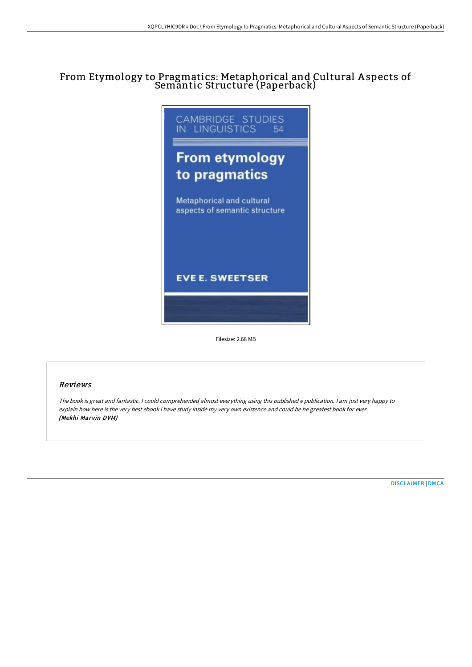## From Etymology to Pragmatics: Metaphorical and Cultural A spects of Semantic Structure (Paperback)



Filesize: 2.68 MB

## Reviews

The book is great and fantastic. <sup>I</sup> could comprehended almost everything using this published <sup>e</sup> publication. <sup>I</sup> am just very happy to explain how here is the very best ebook i have study inside my very own existence and could be he greatest book for ever. (Mekhi Marvin DVM)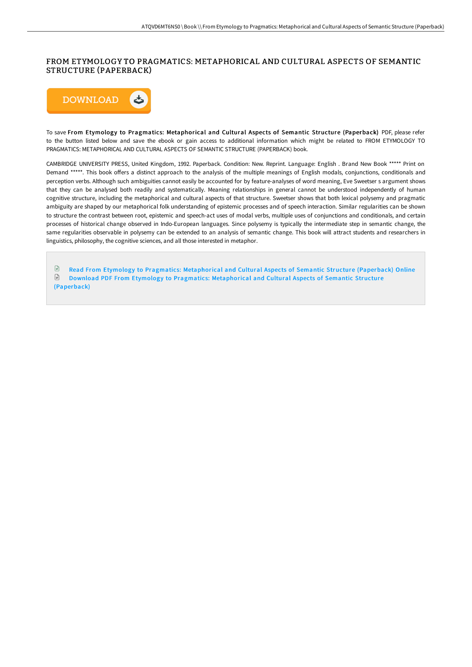## FROM ETYMOLOGY TO PRAGMATICS: METAPHORICAL AND CULTURAL ASPECTS OF SEMANTIC STRUCTURE (PAPERBACK)



To save From Etymology to Pragmatics: Metaphorical and Cultural Aspects of Semantic Structure (Paperback) PDF, please refer to the button listed below and save the ebook or gain access to additional information which might be related to FROM ETYMOLOGY TO PRAGMATICS: METAPHORICAL AND CULTURAL ASPECTS OF SEMANTIC STRUCTURE (PAPERBACK) book.

CAMBRIDGE UNIVERSITY PRESS, United Kingdom, 1992. Paperback. Condition: New. Reprint. Language: English . Brand New Book \*\*\*\*\* Print on Demand \*\*\*\*\*. This book offers a distinct approach to the analysis of the multiple meanings of English modals, conjunctions, conditionals and perception verbs. Although such ambiguities cannot easily be accounted for by feature-analyses of word meaning, Eve Sweetser s argument shows that they can be analysed both readily and systematically. Meaning relationships in general cannot be understood independently of human cognitive structure, including the metaphorical and cultural aspects of that structure. Sweetser shows that both lexical polysemy and pragmatic ambiguity are shaped by our metaphorical folk understanding of epistemic processes and of speech interaction. Similar regularities can be shown to structure the contrast between root, epistemic and speech-act uses of modal verbs, multiple uses of conjunctions and conditionals, and certain processes of historical change observed in Indo-European languages. Since polysemy is typically the intermediate step in semantic change, the same regularities observable in polysemy can be extended to an analysis of semantic change. This book will attract students and researchers in linguistics, philosophy, the cognitive sciences, and all those interested in metaphor.

Read From Etymology to Pragmatics: [Metaphorical](http://digilib.live/from-etymology-to-pragmatics-metaphorical-and-cu.html) and Cultural Aspects of Semantic Structure (Paperback) Online  $\mathbb{B}$ Download PDF From Etymology to Pragmatics: [Metaphorical](http://digilib.live/from-etymology-to-pragmatics-metaphorical-and-cu.html) and Cultural Aspects of Semantic Structure (Paperback)